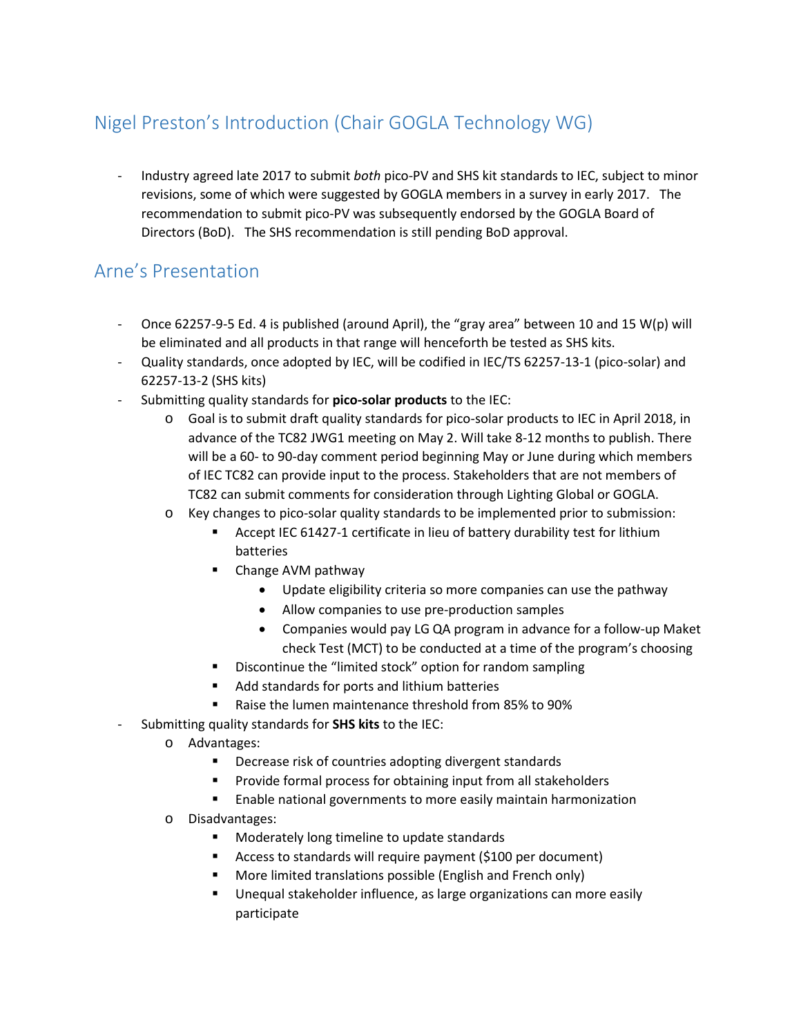# Nigel Preston's Introduction (Chair GOGLA Technology WG)

- Industry agreed late 2017 to submit *both* pico-PV and SHS kit standards to IEC, subject to minor revisions, some of which were suggested by GOGLA members in a survey in early 2017. The recommendation to submit pico-PV was subsequently endorsed by the GOGLA Board of Directors (BoD). The SHS recommendation is still pending BoD approval.

## Arne's Presentation

- Once 62257-9-5 Ed. 4 is published (around April), the "gray area" between 10 and 15 W(p) will be eliminated and all products in that range will henceforth be tested as SHS kits.
- Quality standards, once adopted by IEC, will be codified in IEC/TS 62257-13-1 (pico-solar) and 62257-13-2 (SHS kits)
- Submitting quality standards for **pico-solar products** to the IEC:
	- o Goal is to submit draft quality standards for pico-solar products to IEC in April 2018, in advance of the TC82 JWG1 meeting on May 2. Will take 8-12 months to publish. There will be a 60- to 90-day comment period beginning May or June during which members of IEC TC82 can provide input to the process. Stakeholders that are not members of TC82 can submit comments for consideration through Lighting Global or GOGLA.
	- o Key changes to pico-solar quality standards to be implemented prior to submission:
		- Accept IEC 61427-1 certificate in lieu of battery durability test for lithium batteries
		- Change AVM pathway
			- Update eligibility criteria so more companies can use the pathway
			- Allow companies to use pre-production samples
			- Companies would pay LG QA program in advance for a follow-up Maket check Test (MCT) to be conducted at a time of the program's choosing
		- **•** Discontinue the "limited stock" option for random sampling
		- Add standards for ports and lithium batteries
		- Raise the lumen maintenance threshold from 85% to 90%
- Submitting quality standards for **SHS kits** to the IEC:
	- o Advantages:
		- **•** Decrease risk of countries adopting divergent standards
		- **Provide formal process for obtaining input from all stakeholders**
		- **Enable national governments to more easily maintain harmonization**
	- o Disadvantages:
		- **Moderately long timeline to update standards**
		- Access to standards will require payment (\$100 per document)
		- More limited translations possible (English and French only)
		- Unequal stakeholder influence, as large organizations can more easily participate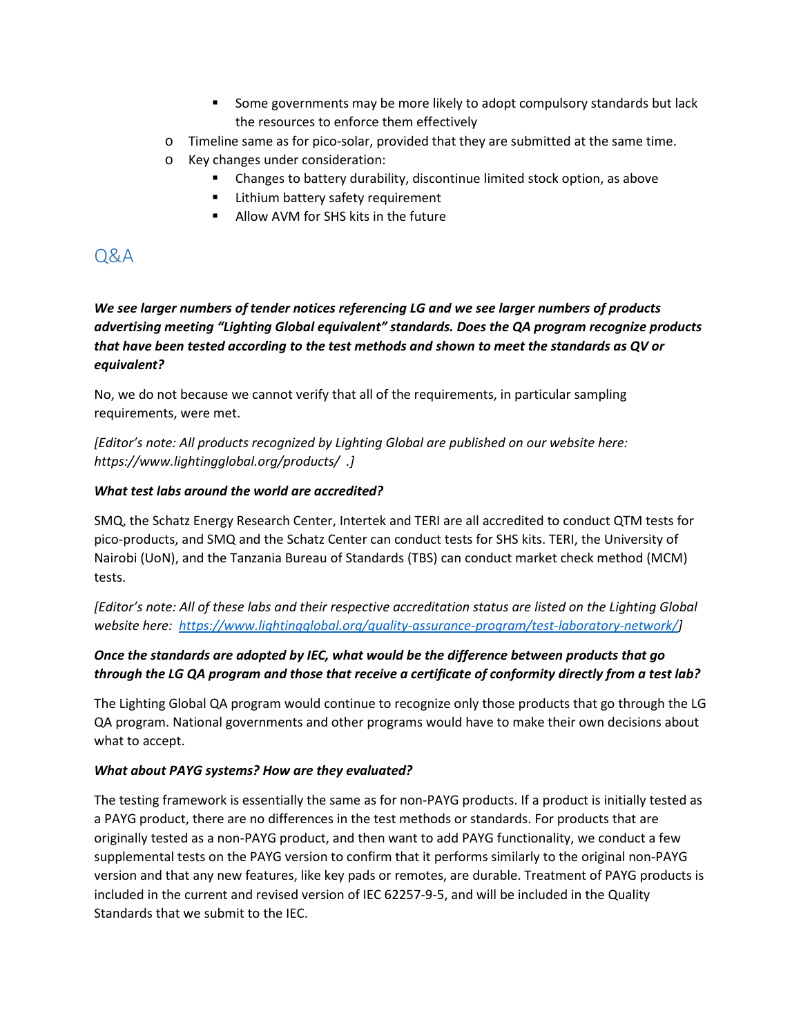- Some governments may be more likely to adopt compulsory standards but lack the resources to enforce them effectively
- o Timeline same as for pico-solar, provided that they are submitted at the same time.
- o Key changes under consideration:
	- Changes to battery durability, discontinue limited stock option, as above
	- **EXTER** Lithium battery safety requirement
	- **Allow AVM for SHS kits in the future**

## Q&A

*We see larger numbers of tender notices referencing LG and we see larger numbers of products advertising meeting "Lighting Global equivalent" standards. Does the QA program recognize products that have been tested according to the test methods and shown to meet the standards as QV or equivalent?*

No, we do not because we cannot verify that all of the requirements, in particular sampling requirements, were met.

*[Editor's note: All products recognized by Lighting Global are published on our website here: https://www.lightingglobal.org/products/ .]*

#### *What test labs around the world are accredited?*

SMQ, the Schatz Energy Research Center, Intertek and TERI are all accredited to conduct QTM tests for pico-products, and SMQ and the Schatz Center can conduct tests for SHS kits. TERI, the University of Nairobi (UoN), and the Tanzania Bureau of Standards (TBS) can conduct market check method (MCM) tests.

*[Editor's note: All of these labs and their respective accreditation status are listed on the Lighting Global website here: [https://www.lightingglobal.org/quality-assurance-program/test-laboratory-network/\]](https://www.lightingglobal.org/quality-assurance-program/test-laboratory-network/)*

## *Once the standards are adopted by IEC, what would be the difference between products that go through the LG QA program and those that receive a certificate of conformity directly from a test lab?*

The Lighting Global QA program would continue to recognize only those products that go through the LG QA program. National governments and other programs would have to make their own decisions about what to accept.

### *What about PAYG systems? How are they evaluated?*

The testing framework is essentially the same as for non-PAYG products. If a product is initially tested as a PAYG product, there are no differences in the test methods or standards. For products that are originally tested as a non-PAYG product, and then want to add PAYG functionality, we conduct a few supplemental tests on the PAYG version to confirm that it performs similarly to the original non-PAYG version and that any new features, like key pads or remotes, are durable. Treatment of PAYG products is included in the current and revised version of IEC 62257-9-5, and will be included in the Quality Standards that we submit to the IEC.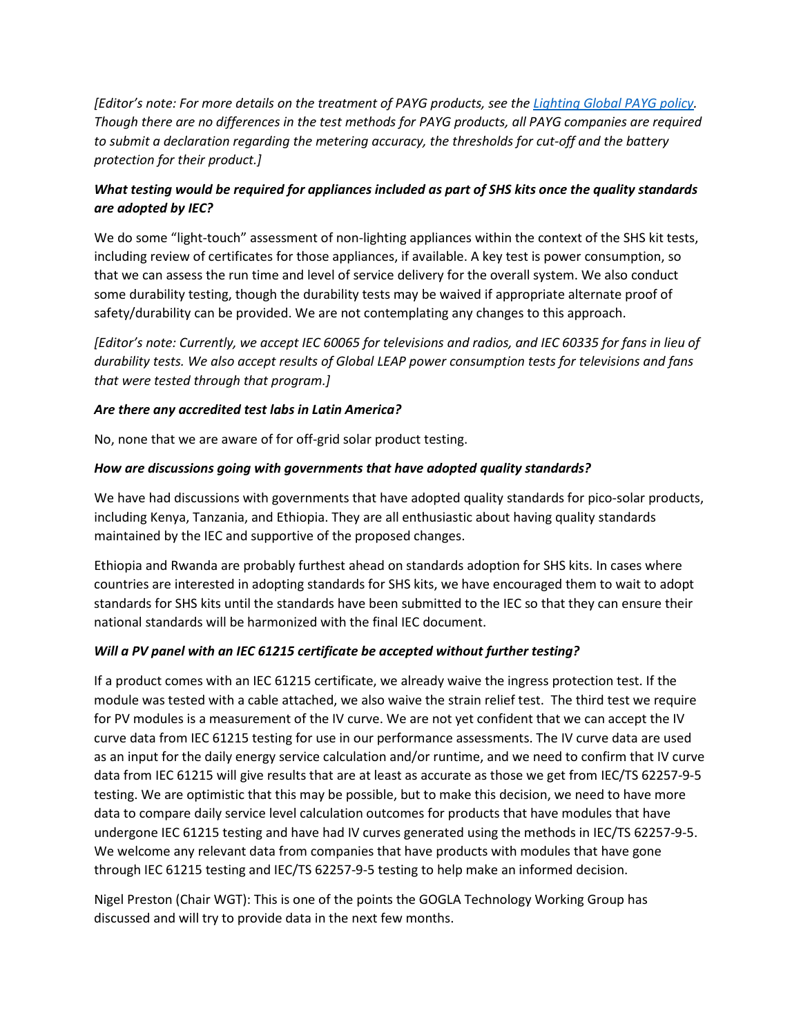*[Editor's note: For more details on the treatment of PAYG products, see th[e Lighting Global PAYG policy.](https://www.lightingglobal.org/resource/quality-assurance-for-pay-as-you-go-energy-systems/) Though there are no differences in the test methods for PAYG products, all PAYG companies are required to submit a declaration regarding the metering accuracy, the thresholds for cut-off and the battery protection for their product.]*

## *What testing would be required for appliances included as part of SHS kits once the quality standards are adopted by IEC?*

We do some "light-touch" assessment of non-lighting appliances within the context of the SHS kit tests, including review of certificates for those appliances, if available. A key test is power consumption, so that we can assess the run time and level of service delivery for the overall system. We also conduct some durability testing, though the durability tests may be waived if appropriate alternate proof of safety/durability can be provided. We are not contemplating any changes to this approach.

*[Editor's note: Currently, we accept IEC 60065 for televisions and radios, and IEC 60335 for fans in lieu of durability tests. We also accept results of Global LEAP power consumption tests for televisions and fans that were tested through that program.]*

#### *Are there any accredited test labs in Latin America?*

No, none that we are aware of for off-grid solar product testing.

#### *How are discussions going with governments that have adopted quality standards?*

We have had discussions with governments that have adopted quality standards for pico-solar products, including Kenya, Tanzania, and Ethiopia. They are all enthusiastic about having quality standards maintained by the IEC and supportive of the proposed changes.

Ethiopia and Rwanda are probably furthest ahead on standards adoption for SHS kits. In cases where countries are interested in adopting standards for SHS kits, we have encouraged them to wait to adopt standards for SHS kits until the standards have been submitted to the IEC so that they can ensure their national standards will be harmonized with the final IEC document.

#### *Will a PV panel with an IEC 61215 certificate be accepted without further testing?*

If a product comes with an IEC 61215 certificate, we already waive the ingress protection test. If the module was tested with a cable attached, we also waive the strain relief test. The third test we require for PV modules is a measurement of the IV curve. We are not yet confident that we can accept the IV curve data from IEC 61215 testing for use in our performance assessments. The IV curve data are used as an input for the daily energy service calculation and/or runtime, and we need to confirm that IV curve data from IEC 61215 will give results that are at least as accurate as those we get from IEC/TS 62257-9-5 testing. We are optimistic that this may be possible, but to make this decision, we need to have more data to compare daily service level calculation outcomes for products that have modules that have undergone IEC 61215 testing and have had IV curves generated using the methods in IEC/TS 62257-9-5. We welcome any relevant data from companies that have products with modules that have gone through IEC 61215 testing and IEC/TS 62257-9-5 testing to help make an informed decision.

Nigel Preston (Chair WGT): This is one of the points the GOGLA Technology Working Group has discussed and will try to provide data in the next few months.